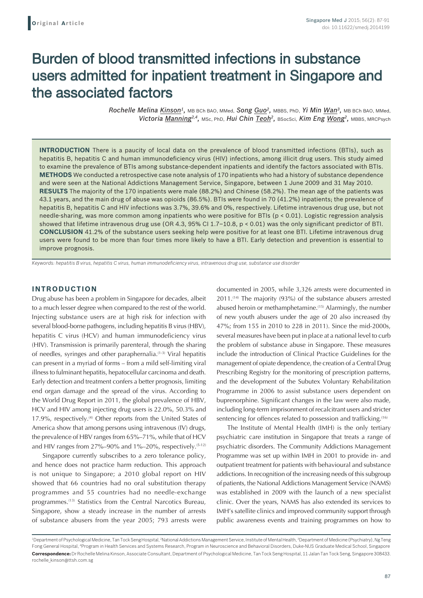# Burden of blood transmitted infections in substance users admitted for inpatient treatment in Singapore and the associated factors

*Rochelle Melina Kinson1,* MB BCh BAO, MMed, *Song Guo2,* MBBS, PhD, *Yi Min Wan3,* MB BCh BAO, MMed, *Victoria Manning2,4,* MSc, PhD, *Hui Chin Teoh2,* BSocSci, *Kim Eng Wong2,* MBBS, MRCPsych

**INTRODUCTION** There is a paucity of local data on the prevalence of blood transmitted infections (BTIs), such as hepatitis B, hepatitis C and human immunodeficiency virus (HIV) infections, among illicit drug users. This study aimed to examine the prevalence of BTIs among substance‑dependent inpatients and identify the factors associated with BTIs. **METHODS** We conducted a retrospective case note analysis of 170 inpatients who had a history of substance dependence and were seen at the National Addictions Management Service, Singapore, between 1 June 2009 and 31 May 2010. **RESULTS** The majority of the 170 inpatients were male (88.2%) and Chinese (58.2%). The mean age of the patients was 43.1 years, and the main drug of abuse was opioids (86.5%). BTIs were found in 70 (41.2%) inpatients; the prevalence of hepatitis B, hepatitis C and HIV infections was 3.7%, 39.6% and 0%, respectively. Lifetime intravenous drug use, but not needle-sharing, was more common among inpatients who were positive for BTIs (p < 0.01). Logistic regression analysis showed that lifetime intravenous drug use (OR 4.3, 95% CI 1.7–10.8, p < 0.01) was the only significant predictor of BTI. **CONCLUSION** 41.2% of the substance users seeking help were positive for at least one BTI. Lifetime intravenous drug users were found to be more than four times more likely to have a BTI. Early detection and prevention is essential to improve prognosis.

*Keywords: hepatitis B virus, hepatitis C virus, human immunodeficiency virus, intravenous drug use, substance use disorder*

#### **INTRODUCTION**

Drug abuse has been a problem in Singapore for decades, albeit to a much lesser degree when compared to the rest of the world. Injecting substance users are at high risk for infection with several blood-borne pathogens, including hepatitis B virus (HBV), hepatitis C virus (HCV) and human immunodeficiency virus (HIV). Transmission is primarily parenteral, through the sharing of needles, syringes and other paraphernalia.(1-3) Viral hepatitis can present in a myriad of forms – from a mild self-limiting viral illness to fulminant hepatitis, hepatocellular carcinoma and death. Early detection and treatment confers a better prognosis, limiting end organ damage and the spread of the virus. According to the World Drug Report in 2011, the global prevalence of HBV, HCV and HIV among injecting drug users is 22.0%, 50.3% and 17.9%, respectively.<sup>(4)</sup> Other reports from the United States of America show that among persons using intravenous (IV) drugs, the prevalence of HBV ranges from 65%–71%, while that of HCV and HIV ranges from  $27\% - 90\%$  and  $1\% - 20\%$ , respectively.<sup>(5-12)</sup>

Singapore currently subscribes to a zero tolerance policy, and hence does not practice harm reduction. This approach is not unique to Singapore; a 2010 global report on HIV showed that 66 countries had no oral substitution therapy programmes and 55 countries had no needle-exchange programmes.(13) Statistics from the Central Narcotics Bureau, Singapore, show a steady increase in the number of arrests of substance abusers from the year 2005; 793 arrests were documented in 2005, while 3,326 arrests were documented in 2011.<sup>(14)</sup> The majority (93%) of the substance abusers arrested abused heroin or methamphetamine.<sup>(15)</sup> Alarmingly, the number of new youth abusers under the age of 20 also increased (by 47%; from 155 in 2010 to 228 in 2011). Since the mid-2000s, several measures have been put in place at a national level to curb the problem of substance abuse in Singapore. These measures include the introduction of Clinical Practice Guidelines for the management of opiate dependence, the creation of a Central Drug Prescribing Registry for the monitoring of prescription patterns, and the development of the Subutex Voluntary Rehabilitation Programme in 2006 to assist substance users dependent on buprenorphine. Significant changes in the law were also made, including long-term imprisonment of recalcitrant users and stricter sentencing for offences related to possession and trafficking.<sup>(16)</sup>

The Institute of Mental Health (IMH) is the only tertiary psychiatric care institution in Singapore that treats a range of psychiatric disorders. The Community Addictions Management Programme was set up within IMH in 2001 to provide in- and outpatient treatment for patients with behavioural and substance addictions. In recognition of the increasing needs of this subgroup of patients, the National Addictions Management Service (NAMS) was established in 2009 with the launch of a new specialist clinic. Over the years, NAMS has also extended its services to IMH's satellite clinics and improved community support through public awareness events and training programmes on how to

<sup>&</sup>lt;sup>1</sup>Department of Psychological Medicine, Tan Tock Seng Hospital, <sup>2</sup>National Addictions Management Service, Institute of Mental Health, <sup>3</sup>Department of Medicine (Psychiatry), Ng Teng Fong General Hospital, 4 Program in Health Services and Systems Research, Program in Neuroscience and Behavioral Disorders, Duke-NUS Graduate Medical School, Singapore **Correspondence:** DrRochelle Melina Kinson, Associate Consultant, Department of Psychological Medicine, Tan Tock Seng Hospital, 11 Jalan Tan Tock Seng, Singapore 308433. rochelle\_kinson@ttsh.com.sg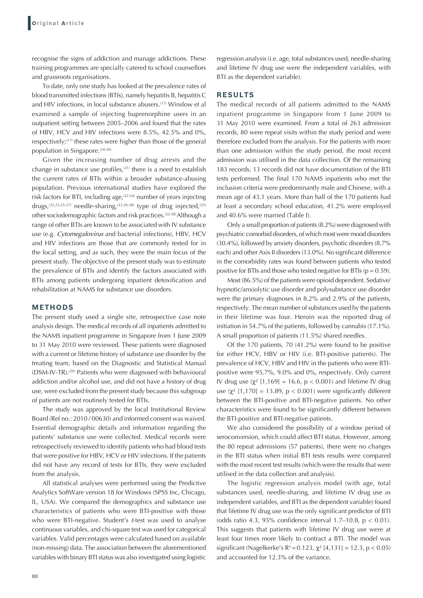recognise the signs of addiction and manage addictions. These training programmes are specially catered to school counsellors and grassroots organisations.

To date, only one study has looked at the prevalence rates of blood transmitted infections (BTIs), namely hepatitis B, hepatitis C and HIV infections, in local substance abusers.<sup>(17)</sup> Winslow et al examined a sample of injecting buprenorphine users in an outpatient setting between 2005–2006 and found that the rates of HBV, HCV and HIV infections were 8.5%, 42.5% and 0%, respectively;<sup>(17)</sup> these rates were higher than those of the general population in Singapore.<sup>(18-20)</sup>

Given the increasing number of drug arrests and the change in substance use profiles, $(21)$  there is a need to establish the current rates of BTIs within a broader substance-abusing population. Previous international studies have explored the risk factors for BTI, including age,  $(22-24)$  number of years injecting drugs,<sup>(22,23,25-27)</sup> needle-sharing,<sup>(23,26-28)</sup> type of drug injected,<sup>(25)</sup> other sociodemographic factors and risk practices.(22-28) Although a range of other BTIs are known to be associated with IV substance use (e.g. *Cytomegalovirus* and bacterial infections), HBV, HCV and HIV infections are those that are commonly tested for in the local setting, and as such, they were the main focus of the present study. The objective of the present study was to estimate the prevalence of BTIs and identify the factors associated with BTIs among patients undergoing inpatient detoxification and rehabilitation at NAMS for substance use disorders.

## **METHODS**

The present study used a single site, retrospective case note analysis design. The medical records of all inpatients admitted to the NAMS inpatient programme in Singapore from 1 June 2009 to 31 May 2010 were reviewed. These patients were diagnosed with a current or lifetime history of substance use disorder by the treating team, based on the Diagnostic and Statistical Manual (DSM-IV-TR).(29) Patients who were diagnosed with behavioural addiction and/or alcohol use, and did not have a history of drug use, were excluded from the present study because this subgroup of patients are not routinely tested for BTIs.

The study was approved by the local Institutional Review Board (Ref no.: 2010 / 00630) and informed consent was waived. Essential demographic details and information regarding the patients' substance use were collected. Medical records were retrospectively reviewed to identify patients who had blood tests that were positive for HBV, HCV or HIV infections. If the patients did not have any record of tests for BTIs, they were excluded from the analysis.

All statistical analyses were performed using the Predictive Analytics SoftWare version 18 for Windows (SPSS Inc, Chicago, IL, USA). We compared the demographics and substance use characteristics of patients who were BTI-positive with those who were BTI-negative. Student's *t*-test was used to analyse continuous variables, and chi-square test was used for categorical variables. Valid percentages were calculated based on available (non-missing) data. The association between the aforementioned variables with binary BTI status was also investigated using logistic regression analysis (i.e. age, total substances used, needle-sharing and lifetime IV drug use were the independent variables, with BTI as the dependent variable).

### **RESULTS**

The medical records of all patients admitted to the NAMS inpatient programme in Singapore from 1 June 2009 to 31 May 2010 were examined. From a total of 263 admission records, 80 were repeat visits within the study period and were therefore excluded from the analysis. For the patients with more than one admission within the study period, the most recent admission was utilised in the data collection. Of the remaining 183 records, 13 records did not have documentation of the BTI tests performed. The final 170 NAMS inpatients who met the inclusion criteria were predominantly male and Chinese, with a mean age of 43.1 years. More than half of the 170 patients had at least a secondary school education, 41.2% were employed and 40.6% were married (Table I).

Only a small proportion of patients (8.2%) were diagnosed with psychiatric comorbid disorders, of which most were mood disorders (30.4%), followed by anxiety disorders, psychotic disorders (8.7% each) and other Axis II disorders (13.0%). No significant difference in the comorbidity rates was found between patients who tested positive for BTIs and those who tested negative for BTIs ( $p = 0.59$ ).

Most (86.5%) of the patients were opioid dependent. Sedative/ hypnotic/anxiolytic use disorder and polysubstance use disorder were the primary diagnoses in 8.2% and 2.9% of the patients, respectively. The mean number of substances used by the patients in their lifetime was four. Heroin was the reported drug of initiation in 54.7% of the patients, followed by cannabis (17.1%). A small proportion of patients (11.5%) shared needles.

Of the 170 patients, 70 (41.2%) were found to be positive for either HCV, HBV or HIV (i.e. BTI-positive patients). The prevalence of HCV, HBV and HIV in the patients who were BTIpositive were 95.7%, 9.0% and 0%, respectively. Only current IV drug use (χ² [1,169] = 16.6, p < 0.001) and lifetime IV drug use  $(\chi^2 \mid 1,170] = 13.89$ , p < 0.001) were significantly different between the BTI-positive and BTI-negative patients. No other characteristics were found to be significantly different between the BTI-positive and BTI-negative patients.

We also considered the possibility of a window period of seroconversion, which could affect BTI status. However, among the 80 repeat admissions (57 patients), there were no changes in the BTI status when initial BTI tests results were compared with the most recent test results (which were the results that were utilised in the data collection and analysis).

The logistic regression analysis model (with age, total substances used, needle-sharing, and lifetime IV drug use as independent variables, and BTI as the dependent variable) found that lifetime IV drug use was the only significant predictor of BTI (odds ratio 4.3, 95% confidence interval 1.7–10.8,  $p < 0.01$ ). This suggests that patients with lifetime IV drug use were at least four times more likely to contract a BTI. The model was significant (Nagelkerke's  $R^2 = 0.123$ ,  $\chi^2$  [4,131] = 12.3, p < 0.05) and accounted for 12.3% of the variance.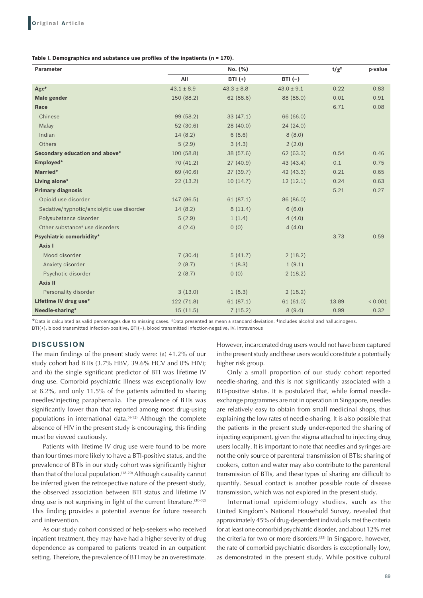#### **Table I. Demographics and substance use profiles of the inpatients (n = 170).**

| <b>Parameter</b>                           |                | No. (%)        |                | $t/\chi^2$ | p-value |
|--------------------------------------------|----------------|----------------|----------------|------------|---------|
|                                            | All            | <b>BTI</b> (+) | $BTI(-)$       |            |         |
| Age <sup>+</sup>                           | $43.1 \pm 8.9$ | $43.3 \pm 8.8$ | $43.0 \pm 9.1$ | 0.22       | 0.83    |
| <b>Male gender</b>                         | 150 (88.2)     | 62(88.6)       | 88 (88.0)      | 0.01       | 0.91    |
| Race                                       |                |                |                | 6.71       | 0.08    |
| Chinese                                    | 99 (58.2)      | 33(47.1)       | 66 (66.0)      |            |         |
| Malay                                      | 52(30.6)       | 28(40.0)       | 24(24.0)       |            |         |
| Indian                                     | 14(8.2)        | 6(8.6)         | 8(8.0)         |            |         |
| Others                                     | 5(2.9)         | 3(4.3)         | 2(2.0)         |            |         |
| Secondary education and above*             | 100 (58.8)     | 38 (57.6)      | 62 (63.3)      | 0.54       | 0.46    |
| Employed*                                  | 70 (41.2)      | 27(40.9)       | 43 (43.4)      | 0.1        | 0.75    |
| Married*                                   | 69 (40.6)      | 27(39.7)       | 42 (43.3)      | 0.21       | 0.65    |
| Living alone*                              | 22(13.2)       | 10(14.7)       | 12(12.1)       | 0.24       | 0.63    |
| <b>Primary diagnosis</b>                   |                |                |                | 5.21       | 0.27    |
| Opioid use disorder                        | 147 (86.5)     | 61(87.1)       | 86 (86.0)      |            |         |
| Sedative/hypnotic/anxiolytic use disorder  | 14(8.2)        | 8(11.4)        | 6(6.0)         |            |         |
| Polysubstance disorder                     | 5(2.9)         | 1(1.4)         | 4(4.0)         |            |         |
| Other substance <sup>#</sup> use disorders | 4(2.4)         | 0(0)           | 4(4.0)         |            |         |
| <b>Psychiatric comorbidity*</b>            |                |                |                | 3.73       | 0.59    |
| Axis I                                     |                |                |                |            |         |
| Mood disorder                              | 7(30.4)        | 5(41.7)        | 2(18.2)        |            |         |
| Anxiety disorder                           | 2(8.7)         | 1(8.3)         | 1(9.1)         |            |         |
| Psychotic disorder                         | 2(8.7)         | 0(0)           | 2(18.2)        |            |         |
| Axis II                                    |                |                |                |            |         |
| Personality disorder                       | 3(13.0)        | 1(8.3)         | 2(18.2)        |            |         |
| Lifetime IV drug use*                      | 122 (71.8)     | 61(87.1)       | 61(61.0)       | 13.89      | < 0.001 |
| Needle-sharing*                            | 15(11.5)       | 7(15.2)        | 8(9.4)         | 0.99       | 0.32    |

\*Data is calculated as valid percentages due to missing cases. †Data presented as mean ± standard deviation. ‡Includes alcohol and hallucinogens. BTI(+): blood transmitted infection-positive; BTI(–): blood transmitted infection-negative; IV: intravenous

#### **DISCUSSION**

The main findings of the present study were: (a) 41.2% of our study cohort had BTIs (3.7% HBV, 39.6% HCV and 0% HIV); and (b) the single significant predictor of BTI was lifetime IV drug use. Comorbid psychiatric illness was exceptionally low at 8.2%, and only 11.5% of the patients admitted to sharing needles/injecting paraphernalia. The prevalence of BTIs was significantly lower than that reported among most drug-using populations in international data.<sup>(4-12)</sup> Although the complete absence of HIV in the present study is encouraging, this finding must be viewed cautiously.

Patients with lifetime IV drug use were found to be more than four times more likely to have a BTI-positive status, and the prevalence of BTIs in our study cohort was significantly higher than that of the local population.<sup>(18-20)</sup> Although causality cannot be inferred given the retrospective nature of the present study, the observed association between BTI status and lifetime IV drug use is not surprising in light of the current literature.<sup>(30-32)</sup> This finding provides a potential avenue for future research and intervention.

As our study cohort consisted of help-seekers who received inpatient treatment, they may have had a higher severity of drug dependence as compared to patients treated in an outpatient setting. Therefore, the prevalence of BTI may be an overestimate.

However, incarcerated drug users would not have been captured in the present study and these users would constitute a potentially higher risk group.

Only a small proportion of our study cohort reported needle-sharing, and this is not significantly associated with a BTI-positive status. It is postulated that, while formal needleexchange programmes are not in operation in Singapore, needles are relatively easy to obtain from small medicinal shops, thus explaining the low rates of needle-sharing. It is also possible that the patients in the present study under-reported the sharing of injecting equipment, given the stigma attached to injecting drug users locally. It is important to note that needles and syringes are not the only source of parenteral transmission of BTIs; sharing of cookers, cotton and water may also contribute to the parenteral transmission of BTIs, and these types of sharing are difficult to quantify. Sexual contact is another possible route of disease transmission, which was not explored in the present study.

International epidemiology studies, such as the United Kingdom's National Household Survey, revealed that approximately 45% of drug-dependent individuals met the criteria for at least one comorbid psychiatric disorder, and about 12% met the criteria for two or more disorders.<sup>(33)</sup> In Singapore, however, the rate of comorbid psychiatric disorders is exceptionally low, as demonstrated in the present study. While positive cultural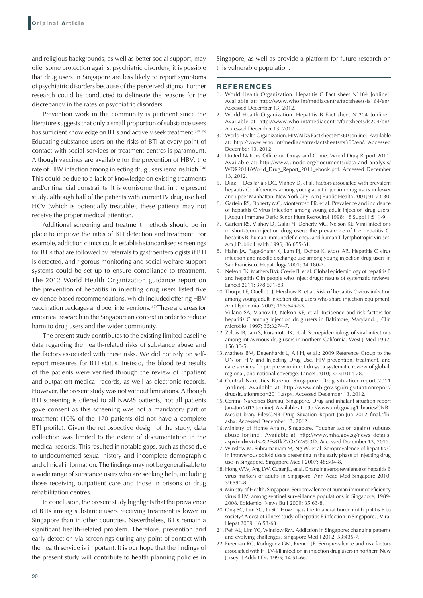and religious backgrounds, as well as better social support, may offer some protection against psychiatric disorders, it is possible that drug users in Singapore are less likely to report symptoms of psychiatric disorders because of the perceived stigma. Further research could be conducted to delineate the reasons for the discrepancy in the rates of psychiatric disorders.

Prevention work in the community is pertinent since the literature suggests that only a small proportion of substance users has sufficient knowledge on BTIs and actively seek treatment.<sup>(34,35)</sup> Educating substance users on the risks of BTI at every point of contact with social services or treatment centres is paramount. Although vaccines are available for the prevention of HBV, the rate of HBV infection among injecting drug users remains high.<sup>(36)</sup> This could be due to a lack of knowledge on existing treatments and/or financial constraints. It is worrisome that, in the present study, although half of the patients with current IV drug use had HCV (which is potentially treatable), these patients may not receive the proper medical attention.

Additional screening and treatment methods should be in place to improve the rates of BTI detection and treatment. For example, addiction clinics could establish standardised screenings for BTIs that are followed by referrals to gastroenterologists if BTI is detected, and rigorous monitoring and social welfare support systems could be set up to ensure compliance to treatment. The 2012 World Health Organization guidance report on the prevention of hepatitis in injecting drug users listed five evidence-based recommendations, which included offering HBV vaccination packages and peer interventions.(37) These are areas for empirical research in the Singaporean context in order to reduce harm to drug users and the wider community.

The present study contributes to the existing limited baseline data regarding the health-related risks of substance abuse and the factors associated with these risks. We did not rely on selfreport measures for BTI status. Instead, the blood test results of the patients were verified through the review of inpatient and outpatient medical records, as well as electronic records. However, the present study was not without limitations. Although BTI screening is offered to all NAMS patients, not all patients gave consent as this screening was not a mandatory part of treatment (10% of the 170 patients did not have a complete BTI profile). Given the retrospective design of the study, data collection was limited to the extent of documentation in the medical records. This resulted in notable gaps, such as those due to undocumented sexual history and incomplete demographic and clinical information. The findings may not be generalisable to a wide range of substance users who are seeking help, including those receiving outpatient care and those in prisons or drug rehabilitation centres.

In conclusion, the present study highlights that the prevalence of BTIs among substance users receiving treatment is lower in Singapore than in other countries. Nevertheless, BTIs remain a significant health-related problem. Therefore, prevention and early detection via screenings during any point of contact with the health service is important. It is our hope that the findings of the present study will contribute to health planning policies in Singapore, as well as provide a platform for future research on this vulnerable population.

### **REFERENCES**

- 1. World Health Organization. Hepatitis C Fact sheet N°164 [online]. Available at: http://www.who.int/mediacentre/factsheets/fs164/en/. Accessed December 13, 2012.
- 2. World Health Organization. Hepatitis B Fact sheet N°204 [online]. Available at: http://www.who.int/mediacentre/factsheets/fs204/en/. Accessed December 13, 2012.
- 3. World Health Organization. HIV/AIDS Fact sheet N°360 [online]. Available at: http://www.who.int/mediacentre/factsheets/fs360/en/. Accessed December 13, 2012.
- 4. United Nations Office on Drugs and Crime. World Drug Report 2011. Available at: http://www.unodc.org/documents/data-and-analysis/ WDR2011/World\_Drug\_Report\_2011\_ebook.pdf. Accessed December 13, 2012.
- 5. Diaz T, Des Jarlais DC, Vlahov D, et al. Factors associated with prevalent hepatitis C: differences among young adult injection drug users in lower and upper Manhattan, New York City. Am J Public Health 2001; 91:23-30.
- 6. Garfein RS, Doherty MC, Monterroso ER, et al. Prevalence and incidence of hepatitis C virus infection among young adult injection drug users. J Acquir Immune Defic Syndr Hum Retrovirol 1998; 18 Suppl 1:S11-9.
- 7. Garfein RS, Vlahov D, Galai N, Doherty MC, Nelson KE. Viral infections in short-term injection drug users: the prevalence of the hepatitis C, hepatitis B, human immunodeficiency, and human T-lymphotropic viruses. Am J Public Health 1996; 86:655-61.
- 8. Hahn JA, Page-Shafer K, Lum PJ, Ochoa K, Moss AR. Hepatitis C virus infection and needle exchange use among young injection drug users in San Francisco. Hepatology 2001; 34:180-7.
- 9. Nelson PK, Mathers BM, Cowie B, et al. Global epidemiology of hepatitis B and hepatitis C in people who inject drugs: results of systematic reviews. Lancet 2011; 378:571-83.
- 10. Thorpe LE, Ouellet LJ, Hershow R, et al. Risk of hepatitis C virus infection among young adult injection drug users who share injection equipment. Am J Epidemiol 2002; 155:645-53.
- 11. Villano SA, Vlahov D, Nelson KE, et al. Incidence and risk factors for hepatitis C among injection drug users in Baltimore, Maryland. J Clin Microbiol 1997; 35:3274-7.
- 12. Zeldis JB, Jain S, Kuramoto IK, et al. Seroepidemiology of viral infections among intravenous drug users in northern California. West J Med 1992; 156:30-5.
- 13. Mathers BM, Degenhardt L, Ali H, et al.; 2009 Reference Group to the UN on HIV and Injecting Drug Use. HIV prevention, treatment, and care services for people who inject drugs: a systematic review of global, regional, and national coverage. Lancet 2010; 375:1014-28.
- 14. Central Narcotics Bureau, Singapore. Drug situation report 2011 [online]. Available at: http://www.cnb.gov.sg/drugsituationreport/ drugsituationreport2011.aspx. Accessed December 13, 2012.
- 15. Central Narcotics Bureau, Singapore. Drug and inhalant situation report Jan–Jun 2012 [online]. Available at: http://www.cnb.gov.sg/Libraries/CNB\_ MediaLibrary\_Files/CNB\_Drug\_Situation\_Report\_Jan-Jun\_2012\_final.sflb. ashx. Accessed December 13, 2012.
- 16. Ministry of Home Affairs, Singapore. Tougher action against subutex abuse [online]. Available at: http://www.mha.gov.sg/news\_details. aspx?nid=MzI5-%2Fs8TkZ2OVYM%3D. Accessed December 13, 2012.
- 17. Winslow M, Subramaniam M, Ng W, et al. Seroprevalence of hepatitis C in intravenous opioid users presenting in the early phase of injecting drug use in Singapore. Singapore Med J 2007; 48:504-8.
- 18. Hong WW, Ang LW, Cutter JL, et al. Changing seroprevalence of hepatitis B virus markers of adults in Singapore. Ann Acad Med Singapore 2010; 39:591-8.
- 19. Ministry of Health, Singapore. Seroprevalence of human immunodeficiency virus (HIV) among sentinel surveillance populations in Singapore, 1989- 2008. Epidemiol News Bull 2009; 35:63-8.
- 20. Ong SC, Lim SG, Li SC. How big is the financial burden of hepatitis B to society? A cost-of-illness study of hepatitis B infection in Singapore. J Viral Hepat 2009; 16:53-63.
- 21. Peh AL, Lim YC, Winslow RM. Addiction in Singapore: changing patterns and evolving challenges. Singapore Med J 2012; 53:435-7.
- 22. Freeman RC, Rodriguez GM, French JF. Seroprevalence and risk factors associated with HTLV-I/II infection in injection drug users in northern New Jersey. J Addict Dis 1995; 14:51-66.